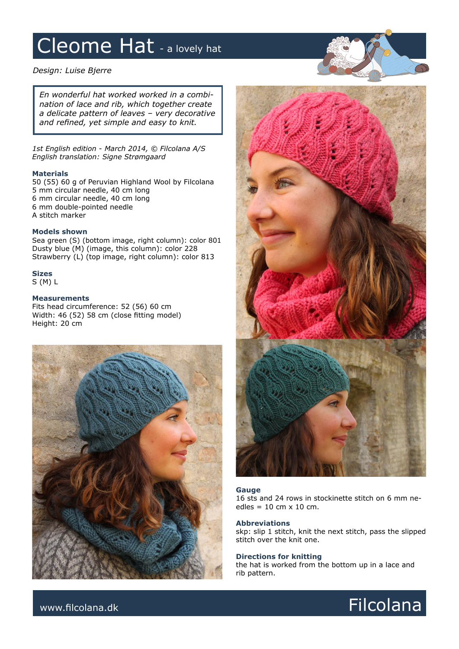# Cleome Hat - a lovely hat

*Design: Luise Bjerre*

*En wonderful hat worked worked in a combination of lace and rib, which together create a delicate pattern of leaves – very decorative and refined, yet simple and easy to knit.* 

*1st English edition - March 2014, © Filcolana A/S English translation: Signe Strømgaard*

### **Materials**

50 (55) 60 g of Peruvian Highland Wool by Filcolana 5 mm circular needle, 40 cm long 6 mm circular needle, 40 cm long 6 mm double-pointed needle A stitch marker

# **Models shown**

Sea green (S) (bottom image, right column): color 801 Dusty blue (M) (image, this column): color 228 Strawberry (L) (top image, right column): color 813

**Sizes**

S (M) L

## **Measurements**

Fits head circumference: 52 (56) 60 cm Width: 46 (52) 58 cm (close fitting model) Height: 20 cm





#### **Gauge**

16 sts and 24 rows in stockinette stitch on 6 mm needles =  $10 \text{ cm} \times 10 \text{ cm}$ .

#### **Abbreviations**

skp: slip 1 stitch, knit the next stitch, pass the slipped stitch over the knit one.

## **Directions for knitting**

the hat is worked from the bottom up in a lace and rib pattern.

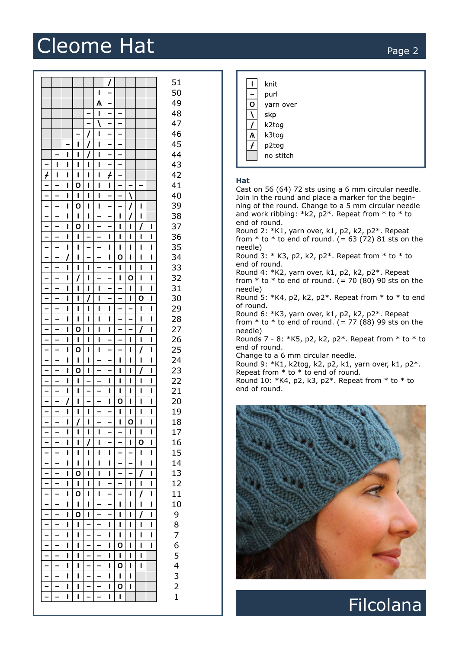# Cleome Hat Page 2

| 51<br>50<br>L<br>49<br>$\mathsf{A}$<br>I.<br>48<br>$\qquad \qquad -$<br>$\qquad \qquad \blacksquare$<br>47<br>$\overline{\phantom{a}}$<br>$\overline{\phantom{m}}$<br>$\qquad \qquad -$<br>46<br>L<br>$\qquad \qquad -$<br>45<br>$\mathbf{I}$<br>I.<br>44<br>$\mathbf{I}$<br>$\mathbf{I}$<br>L<br>$\mathbf{I}$<br>$\mathbf{I}$<br>$\blacksquare$<br>$\vert \vert$<br>$\mathbf{I}$<br>$\overline{\phantom{a}}$<br>43<br>$\overline{\phantom{0}}$<br>$\overline{f}$<br>$\overline{f}$<br>$\vert \vert$<br>$\vert \vert$<br>$\mathbf{I}$<br>$\mathbf{I}$<br>42<br>$\mathbf{I}$<br>$\mathbf{o}$<br>$\overline{\phantom{a}}$<br>l L<br>$\blacksquare$<br>$\blacksquare$<br>41<br>$\mathbf{L}$<br>$\overline{\phantom{a}}$<br>$\overline{\phantom{a}}$<br>$\qquad \qquad -$<br>$\mathbf{I}$<br>$\mathbf{I}$<br>$\mathbf{I}$<br>$\mathbf{I}$<br>40<br>$\overline{\phantom{a}}$<br>$\overline{\phantom{a}}$<br>$\overline{\phantom{a}}$<br>$\mathbf{o}$<br>$\mathbf{I}$<br>$\mathbf{I}$<br>39<br>$\mathbf{I}$<br>$\overline{\phantom{a}}$<br>$\overline{\phantom{a}}$<br>$\mathbf{I}$<br>$\mathbf{I}$<br>$\mathbf{I}$<br>$\overline{\phantom{0}}$<br>$\mathbf{I}$<br>$\overline{\phantom{m}}$<br>$\mathbf{I}$<br>$\mathbf{I}$<br>38<br>$\overline{\phantom{m}}$<br>$\mathbf{o}$<br>$\overline{\phantom{0}}$<br>$\prime$<br>$\overline{\phantom{a}}$<br>$\mathbf{I}$<br>$\overline{\phantom{0}}$<br>$\mathbf{I}$<br>37<br>$\mathbf{I}$<br>$\blacksquare$<br>$\mathbf{I}$<br>36<br>$\mathbf{I}$<br>$\overline{\phantom{a}}$<br>$\mathbf{I}$<br>$\mathbf{I}$<br>$\overline{\phantom{a}}$<br>$\mathbf{I}$<br>$\mathbf{I}$<br>$\mathbf{I}$<br>I.<br>$\overline{\phantom{m}}$<br>35<br>$\overline{\phantom{a}}$<br>$\mathbf{I}$<br>$\mathbf{I}$<br>$\overline{\phantom{a}}$<br>$\overline{\phantom{a}}$<br>$\mathbf{I}$<br>$\mathbf{I}$<br>$\mathbf{I}$<br>$\mathbf{I}$<br>$\mathbf{I}$<br>$\mathbf{o}$<br>34<br>$\mathbf{I}$<br>$\mathbf{I}$<br>$\mathbf{I}$<br>$\overline{\phantom{a}}$<br>$\overline{\phantom{a}}$<br>$\blacksquare$<br>$\mathbf{L}$<br>$\overline{\phantom{a}}$<br>$\equiv$<br>$\equiv$<br>$\mathbf{I}$<br>$\vert \vert$<br>$\vert \vert$<br>$\mathbf{I}$<br>$\mathbf{I}$<br>$\mathbf{I}$<br>$\mathbf{I}$<br>33<br>$\prime$<br>$\mathbf{o}$<br>$\overline{\phantom{0}}$<br>$\overline{\phantom{0}}$<br>32<br>$\mathbf{I}$<br>$\overline{\phantom{a}}$<br>$\mathbf{I}$<br>$\mathbf{I}$<br>$\mathbf{I}$<br>$\mathbf{L}$<br>$\overline{\phantom{a}}$<br>31<br>$\qquad \qquad -$<br>$\mathbf{I}$<br>$\mathbf{I}$<br>$\mathbf{I}$<br>$\overline{\phantom{a}}$<br>$\qquad \qquad -$<br>$\mathbf{I}$<br>$\mathbf{I}$<br>$\mathbf{I}$<br>$\mathbf{I}$<br>$\overline{1}$<br>$\overline{\phantom{a}}$<br>$\overline{\phantom{a}}$<br>$\mathbf{o}$<br>$\mathbf{I}$<br>$\mathbf{L}$<br>$\overline{\phantom{0}}$<br>30<br>$\mathbf{I}$<br>$\mathbf{I}$<br>$\mathbf{I}$<br>$\vert \vert$<br>$\vert \vert$<br>$\vert \vert$<br>$\equiv$<br>$\equiv$<br>29<br>$\overline{\phantom{0}}$<br>$\vert \vert$<br>$\vert \bot \vert$<br>$\mathbf{I}$<br>$\mathbf{I}$<br>$\overline{\phantom{0}}$<br>$\mathbf{L}$<br>$\overline{\phantom{0}}$<br>$\overline{\phantom{0}}$<br>$\mathbf{I}$<br>$\blacksquare$<br>$\mathbf{L}$<br>$\blacksquare$<br>$\mathbf{I}$<br>28<br>$\mathbf{I}$<br>$\overline{\phantom{a}}$<br>$\mathbf{o}$<br>27<br>$\mathbf{I}$<br>$\mathbf{I}$<br>$\mathbf{I}$<br>$\overline{\phantom{a}}$<br>$\mathbf{I}$<br>$\mathbf{I}$<br>$\overline{\phantom{a}}$<br>26<br>$\overline{\phantom{a}}$<br>$\mathbf{I}$<br>$\mathbf{I}$<br>$\mathbf{I}$<br>$\mathbf{I}$<br>$\mathbf{I}$<br>$\overline{\phantom{a}}$<br>$\mathbf{I}$<br>$\mathbf{I}$<br>$\qquad \qquad -$<br>25<br>$\mathbf O$<br>$\mathbf{I}$<br>$\mathbf{I}$<br>$\mathbf{I}$<br>$\mathbf{I}$<br>$\overline{\phantom{a}}$<br>$\mathbf{I}$<br>$\overline{\phantom{0}}$<br>$\overline{\phantom{a}}$<br>$\blacksquare$<br>$\equiv$<br>$\mathbf{I}$<br>$\mathbf{I}$<br>$\mathbf{I}$<br>$\mathbf{I}$<br>$\mathbf{I}$<br>$\mathbf{I}$<br>24<br>$\mathbf{I}$<br>$\mathbf 0$<br>$\overline{\phantom{a}}$<br>$\prime$<br>$\overline{\phantom{0}}$<br>$\mathbf{I}$<br>$\overline{\phantom{a}}$<br>$\mathbf{I}$<br>$\mathbf{I}$<br>$\mathbf{I}$<br>$\mathbf{I}$<br>23<br>22<br>$\mathbf{I}$<br>$\mathbf{I}$<br>$\mathbf{I}$<br>$\overline{\phantom{a}}$<br>$\mathbf{I}$<br>$\mathbf{I}$<br>$\overline{\phantom{a}}$<br>$\overline{\phantom{a}}$<br>$\mathbf{I}$<br>$\mathbf{I}$ | $\mathbf{I}$<br>knit<br>purl<br>O<br>yarn over<br>$\lambda$<br>skp<br>$\prime$<br>k2tog<br>Ѧ<br>k3tog<br>$\overline{f}$<br>p2tog<br>no stitch<br>Hat<br>Cast on 56 (64) 72 sts using a 6 mm circular needle.<br>Join in the round and place a marker for the begin-<br>ning of the round. Change to a 5 mm circular needle<br>and work ribbing: *k2, $p2*$ . Repeat from * to * to<br>end of round.<br>Round 2: $*K1$ , yarn over, k1, p2, k2, p2 $*$ . Repeat<br>from $*$ to $*$ to end of round. (= 63 (72) 81 sts on the<br>needle)<br>Round 3: $*$ K3, p2, k2, p2 $*$ . Repeat from $*$ to $*$ to<br>end of round.<br>Round 4: *K2, yarn over, k1, p2, k2, p2*. Repeat<br>from $*$ to $*$ to end of round. (= 70 (80) 90 sts on the<br>needle)<br>Round 5: $*K4$ , p2, k2, p2 $*$ . Repeat from $*$ to $*$ to end<br>of round.<br>Round 6: $*K3$ , yarn over, k1, p2, k2, p2 $*$ . Repeat<br>from $*$ to $*$ to end of round. (= 77 (88) 99 sts on the<br>needle)<br>Rounds 7 - 8: *K5, p2, k2, p2*. Repeat from * to * to<br>end of round.<br>Change to a 6 mm circular needle.<br>Round 9: *K1, k2tog, k2, p2, k1, yarn over, k1, p2*.<br>Repeat from $*$ to $*$ to end of round.<br>Round 10: $*K4$ , p2, k3, p2 $*$ . Repeat from $*$ to $*$ to |
|----------------------------------------------------------------------------------------------------------------------------------------------------------------------------------------------------------------------------------------------------------------------------------------------------------------------------------------------------------------------------------------------------------------------------------------------------------------------------------------------------------------------------------------------------------------------------------------------------------------------------------------------------------------------------------------------------------------------------------------------------------------------------------------------------------------------------------------------------------------------------------------------------------------------------------------------------------------------------------------------------------------------------------------------------------------------------------------------------------------------------------------------------------------------------------------------------------------------------------------------------------------------------------------------------------------------------------------------------------------------------------------------------------------------------------------------------------------------------------------------------------------------------------------------------------------------------------------------------------------------------------------------------------------------------------------------------------------------------------------------------------------------------------------------------------------------------------------------------------------------------------------------------------------------------------------------------------------------------------------------------------------------------------------------------------------------------------------------------------------------------------------------------------------------------------------------------------------------------------------------------------------------------------------------------------------------------------------------------------------------------------------------------------------------------------------------------------------------------------------------------------------------------------------------------------------------------------------------------------------------------------------------------------------------------------------------------------------------------------------------------------------------------------------------------------------------------------------------------------------------------------------------------------------------------------------------------------------------------------------------------------------------------------------------------------------------------------------------------------------------------------------------------------------------------------------------------------------------------------------------------------------------------------------------------------------------------------------------------------------------------------------------------------------------------------------------------------------------------------------------------------------------------------------------------------------------------------------------------------------------------------------------------------------------------------------------------------------------------------------------------------------------------------------------------------------------------------------------------------------------------------------------------------------------------------------------------------------------------------------------------------------------------------------------------------------------------------------------------------------------------------------------------------------------------------------------------------------------------------------------------------------------------------------------------------------------------------------------------------------------------------------------------------------------------|---------------------------------------------------------------------------------------------------------------------------------------------------------------------------------------------------------------------------------------------------------------------------------------------------------------------------------------------------------------------------------------------------------------------------------------------------------------------------------------------------------------------------------------------------------------------------------------------------------------------------------------------------------------------------------------------------------------------------------------------------------------------------------------------------------------------------------------------------------------------------------------------------------------------------------------------------------------------------------------------------------------------------------------------------------------------------------------------------------------------------------------------------------------------------------------------------------------------------------------------------------|
| $\overline{\phantom{a}}$<br>$\overline{\phantom{0}}$<br>$\overline{\phantom{0}}$<br>$\mathbf{I}$<br>$\mathbf{I}$<br>$\mathbf{I}$<br>$\mathbf{I}$<br>$\mathbf{I}$<br>$\mathbf{L}$<br>$\mathbf{I}$<br>21<br>$\mathbf{o}$<br>20<br>$\mathbf{I}$<br>$\mathbf{L}$<br>$\mathbf{I}$<br>$\mathbf{I}$<br>$\mathbf{I}$<br>$\overline{\phantom{0}}$<br>$\overline{\phantom{0}}$<br>1 1 <br>$\mathbf{I}$<br>19<br>l L<br>$\mathbf{I}$<br>18<br>O<br>17<br>16<br>O<br>15<br>14<br>13<br>O<br>12<br>11<br>$\mathbf o$<br>10<br>9<br>O<br>$\begin{array}{c} 8 \\ 7 \end{array}$<br>$\overline{6}$<br>O<br>5<br>$\overline{\mathbf{4}}$<br>O<br>$\frac{3}{2}$<br>$\mathbf o$                                                                                                                                                                                                                                                                                                                                                                                                                                                                                                                                                                                                                                                                                                                                                                                                                                                                                                                                                                                                                                                                                                                                                                                                                                                                                                                                                                                                                                                                                                                                                                                                                                                                                                                                                                                                                                                                                                                                                                                                                                                                                                                                                                                                                                                                                                                                                                                                                                                                                                                                                                                                                                                                                                                                                                                                                                                                                                                                                                                                                                                                                                                                                                                                                                                                                                                                                                                                                                                                                                                                                                                                                                                                                                                                                               | end of round.                                                                                                                                                                                                                                                                                                                                                                                                                                                                                                                                                                                                                                                                                                                                                                                                                                                                                                                                                                                                                                                                                                                                                                                                                                           |
| $\mathbf{1}$                                                                                                                                                                                                                                                                                                                                                                                                                                                                                                                                                                                                                                                                                                                                                                                                                                                                                                                                                                                                                                                                                                                                                                                                                                                                                                                                                                                                                                                                                                                                                                                                                                                                                                                                                                                                                                                                                                                                                                                                                                                                                                                                                                                                                                                                                                                                                                                                                                                                                                                                                                                                                                                                                                                                                                                                                                                                                                                                                                                                                                                                                                                                                                                                                                                                                                                                                                                                                                                                                                                                                                                                                                                                                                                                                                                                                                                                                                                                                                                                                                                                                                                                                                                                                                                                                                                                                                                                               | <b>Filcolana</b>                                                                                                                                                                                                                                                                                                                                                                                                                                                                                                                                                                                                                                                                                                                                                                                                                                                                                                                                                                                                                                                                                                                                                                                                                                        |